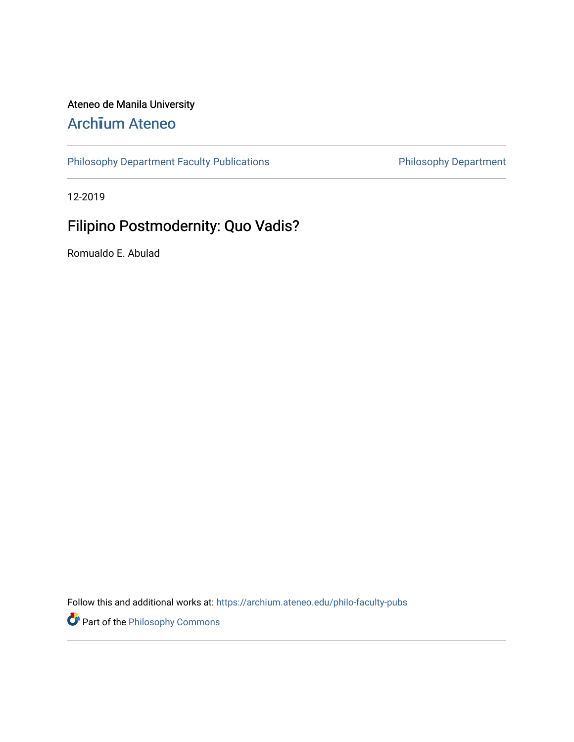# Ateneo de Manila University

# Arch**ī**[um Ateneo](https://archium.ateneo.edu/)

[Philosophy Department Faculty Publications](https://archium.ateneo.edu/philo-faculty-pubs) **Philosophy Department** 

12-2019

# Filipino Postmodernity: Quo Vadis?

Romualdo E. Abulad

Follow this and additional works at: [https://archium.ateneo.edu/philo-faculty-pubs](https://archium.ateneo.edu/philo-faculty-pubs?utm_source=archium.ateneo.edu%2Fphilo-faculty-pubs%2F71&utm_medium=PDF&utm_campaign=PDFCoverPages) 

Part of the [Philosophy Commons](http://network.bepress.com/hgg/discipline/525?utm_source=archium.ateneo.edu%2Fphilo-faculty-pubs%2F71&utm_medium=PDF&utm_campaign=PDFCoverPages)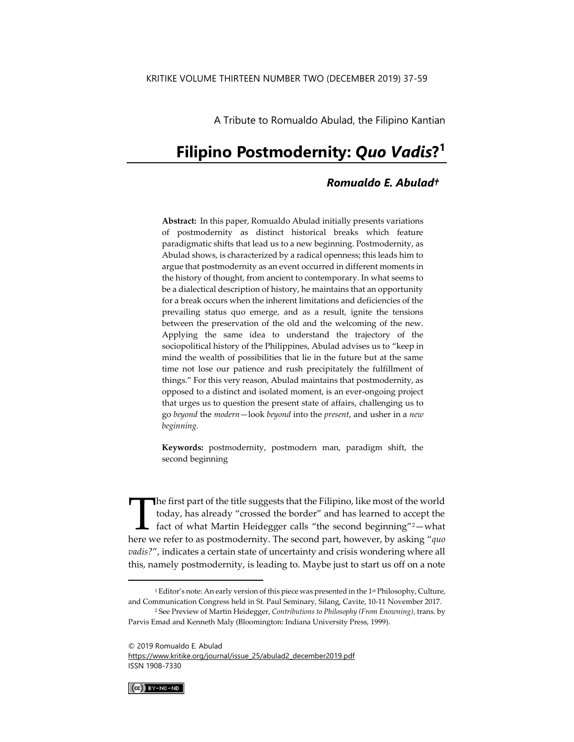A Tribute to Romualdo Abulad, the Filipino Kantian

# **Filipino Postmodernity:** *Quo Vadis***? 1**

# *Romualdo E. Abulad†*

**Abstract:** In this paper, Romualdo Abulad initially presents variations of postmodernity as distinct historical breaks which feature paradigmatic shifts that lead us to a new beginning. Postmodernity, as Abulad shows, is characterized by a radical openness; this leads him to argue that postmodernity as an event occurred in different moments in the history of thought, from ancient to contemporary. In what seems to be a dialectical description of history, he maintains that an opportunity for a break occurs when the inherent limitations and deficiencies of the prevailing status quo emerge, and as a result, ignite the tensions between the preservation of the old and the welcoming of the new. Applying the same idea to understand the trajectory of the sociopolitical history of the Philippines, Abulad advises us to "keep in mind the wealth of possibilities that lie in the future but at the same time not lose our patience and rush precipitately the fulfillment of things." For this very reason, Abulad maintains that postmodernity, as opposed to a distinct and isolated moment, is an ever-ongoing project that urges us to question the present state of affairs, challenging us to go *beyond* the *modern*—look *beyond* into the *present*, and usher in a *new beginning*.

**Keywords:** postmodernity, postmodern man, paradigm shift, the second beginning

The first part of the title suggests that the Filipino, like most of the world today, has already "crossed the border" and has learned to accept the fact of what Martin Heidegger calls "the second beginning"2—what The first part of the title suggests that the Filipino, like most of the world today, has already "crossed the border" and has learned to accept the fact of what Martin Heidegger calls "the second beginning"<sup>2</sup>—what here w *vadis?*", indicates a certain state of uncertainty and crisis wondering where all this, namely postmodernity, is leading to. Maybe just to start us off on a note

[https://www.kritike.org/journal/issue\\_25/abulad2\\_december2019.pdf](https://www.kritike.org/journal/issue_25/abulad2_december2019.pdf) ISSN 1908-7330



 $^1$  Editor's note: An early version of this piece was presented in the 1 $^{\text{st}}$  Philosophy, Culture, and Communication Congress held in St. Paul Seminary, Silang, Cavite, 10-11 November 2017.

<sup>2</sup> See Preview of Martin Heidegger, *Contributions to Philosophy (From Enowning)*, trans. by Parvis Emad and Kenneth Maly (Bloomington: Indiana University Press, 1999).

<sup>© 2019</sup> Romualdo E. Abulad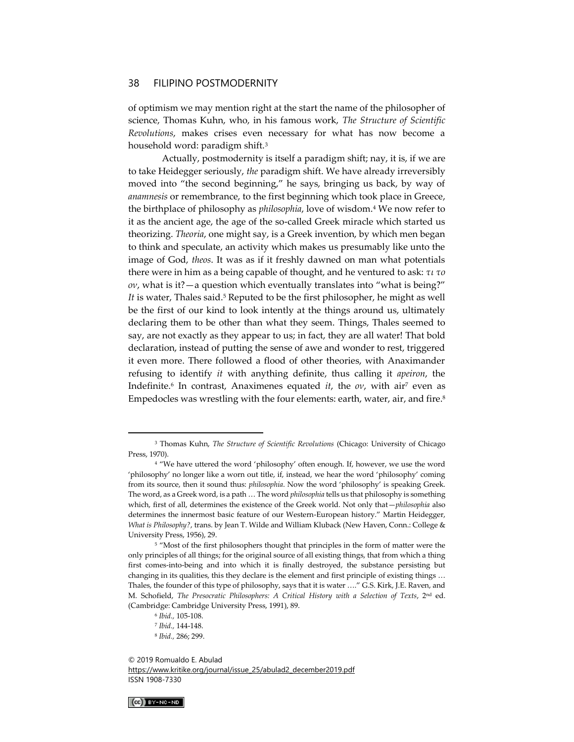of optimism we may mention right at the start the name of the philosopher of science, Thomas Kuhn, who, in his famous work, *The Structure of Scientific Revolutions*, makes crises even necessary for what has now become a household word: paradigm shift.<sup>3</sup>

Actually, postmodernity is itself a paradigm shift; nay, it is, if we are to take Heidegger seriously, *the* paradigm shift. We have already irreversibly moved into "the second beginning," he says, bringing us back, by way of *anamnesis* or remembrance, to the first beginning which took place in Greece, the birthplace of philosophy as *philosophia*, love of wisdom.<sup>4</sup> We now refer to it as the ancient age, the age of the so-called Greek miracle which started us theorizing. *Theoria*, one might say, is a Greek invention, by which men began to think and speculate, an activity which makes us presumably like unto the image of God, *theos*. It was as if it freshly dawned on man what potentials there were in him as a being capable of thought, and he ventured to ask: *τι το ον*, what is it?—a question which eventually translates into "what is being?" It is water, Thales said.<sup>5</sup> Reputed to be the first philosopher, he might as well be the first of our kind to look intently at the things around us, ultimately declaring them to be other than what they seem. Things, Thales seemed to say, are not exactly as they appear to us; in fact, they are all water! That bold declaration, instead of putting the sense of awe and wonder to rest, triggered it even more. There followed a flood of other theories, with Anaximander refusing to identify *it* with anything definite, thus calling it *apeiron*, the Indefinite.<sup>6</sup> In contrast, Anaximenes equated *it*, the *ov*, with air<sup>7</sup> even as Empedocles was wrestling with the four elements: earth, water, air, and fire.<sup>8</sup>

<sup>© 2019</sup> Romualdo E. Abulad [https://www.kritike.org/journal/issue\\_25/abulad2\\_december2019.pdf](https://www.kritike.org/journal/issue_25/abulad2_december2019.pdf) ISSN 1908-7330



<sup>3</sup> Thomas Kuhn, *The Structure of Scientific Revolutions* (Chicago: University of Chicago Press, 1970).

<sup>&</sup>lt;sup>4</sup> "We have uttered the word 'philosophy' often enough. If, however, we use the word 'philosophy' no longer like a worn out title, if, instead, we hear the word 'philosophy' coming from its source, then it sound thus: *philosophia*. Now the word 'philosophy' is speaking Greek. The word, as a Greek word, is a path … The word *philosophia* tells us that philosophy is something which, first of all, determines the existence of the Greek world. Not only that—*philosophia* also determines the innermost basic feature of our Western-European history." Martin Heidegger, *What is Philosophy?*, trans. by Jean T. Wilde and William Kluback (New Haven, Conn.: College & University Press, 1956), 29.

<sup>&</sup>lt;sup>5</sup> "Most of the first philosophers thought that principles in the form of matter were the only principles of all things; for the original source of all existing things, that from which a thing first comes-into-being and into which it is finally destroyed, the substance persisting but changing in its qualities, this they declare is the element and first principle of existing things … Thales, the founder of this type of philosophy, says that it is water …." G.S. Kirk, J.E. Raven, and M. Schofield, *The Presocratic Philosophers: A Critical History with a Selection of Texts*, 2nd ed. (Cambridge: Cambridge University Press, 1991), 89.

<sup>6</sup> *Ibid.,* 105-108.

<sup>7</sup> *Ibid.,* 144-148.

<sup>8</sup> *Ibid.,* 286; 299.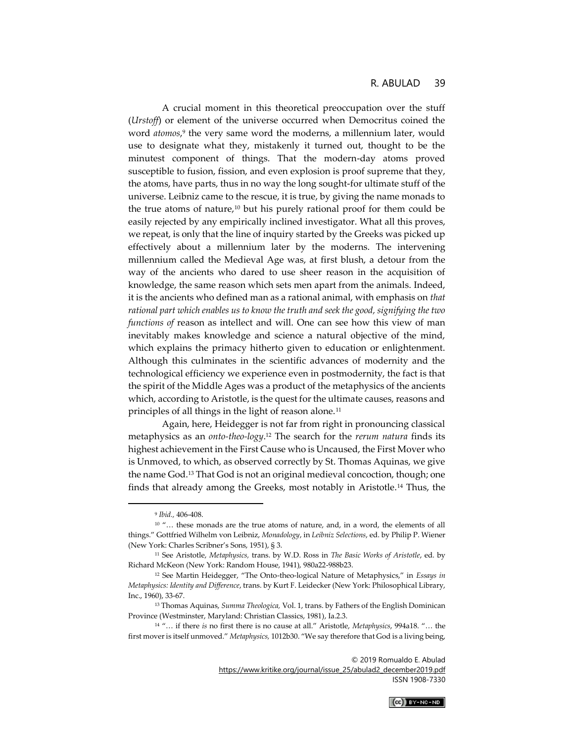A crucial moment in this theoretical preoccupation over the stuff (*Urstoff*) or element of the universe occurred when Democritus coined the word *atomos*, 9 the very same word the moderns, a millennium later, would use to designate what they, mistakenly it turned out, thought to be the minutest component of things. That the modern-day atoms proved susceptible to fusion, fission, and even explosion is proof supreme that they, the atoms, have parts, thus in no way the long sought-for ultimate stuff of the universe. Leibniz came to the rescue, it is true, by giving the name monads to the true atoms of nature, $10$  but his purely rational proof for them could be easily rejected by any empirically inclined investigator. What all this proves, we repeat, is only that the line of inquiry started by the Greeks was picked up effectively about a millennium later by the moderns. The intervening millennium called the Medieval Age was, at first blush, a detour from the way of the ancients who dared to use sheer reason in the acquisition of knowledge, the same reason which sets men apart from the animals. Indeed, it is the ancients who defined man as a rational animal, with emphasis on *that rational part which enables us to know the truth and seek the good, signifying the two functions of* reason as intellect and will. One can see how this view of man inevitably makes knowledge and science a natural objective of the mind, which explains the primacy hitherto given to education or enlightenment. Although this culminates in the scientific advances of modernity and the technological efficiency we experience even in postmodernity, the fact is that the spirit of the Middle Ages was a product of the metaphysics of the ancients which, according to Aristotle, is the quest for the ultimate causes, reasons and principles of all things in the light of reason alone.<sup>11</sup>

Again, here, Heidegger is not far from right in pronouncing classical metaphysics as an *onto-theo-logy*. <sup>12</sup> The search for the *rerum natura* finds its highest achievement in the First Cause who is Uncaused, the First Mover who is Unmoved, to which, as observed correctly by St. Thomas Aquinas, we give the name God.<sup>13</sup> That God is not an original medieval concoction, though; one finds that already among the Greeks, most notably in Aristotle.<sup>14</sup> Thus, the

© 2019 Romualdo E. Abulad

[https://www.kritike.org/journal/issue\\_25/abulad2\\_december2019.pdf](https://www.kritike.org/journal/issue_25/abulad2_december2019.pdf) ISSN 1908-7330



<sup>9</sup> *Ibid.,* 406-408.

<sup>&</sup>lt;sup>10</sup> "... these monads are the true atoms of nature, and, in a word, the elements of all things." Gottfried Wilhelm von Leibniz, *Monadology*, in *Leibniz Selections*, ed. by Philip P. Wiener (New York: Charles Scribner's Sons, 1951), § 3.

<sup>11</sup> See Aristotle, *Metaphysics,* trans. by W.D. Ross in *The Basic Works of Aristotle*, ed. by Richard McKeon (New York: Random House, 1941), 980a22-988b23.

<sup>12</sup> See Martin Heidegger, "The Onto-theo-logical Nature of Metaphysics," in *Essays in Metaphysics: Identity and Difference*, trans. by Kurt F. Leidecker (New York: Philosophical Library, Inc., 1960), 33-67.

<sup>13</sup> Thomas Aquinas, *Summa Theologica,* Vol. 1, trans. by Fathers of the English Dominican Province (Westminster, Maryland: Christian Classics, 1981), Ia.2.3.

<sup>14</sup> "… if there *is* no first there is no cause at all." Aristotle, *Metaphysics*, 994a18. "… the first mover is itself unmoved." *Metaphysics,* 1012b30. "We say therefore that God is a living being,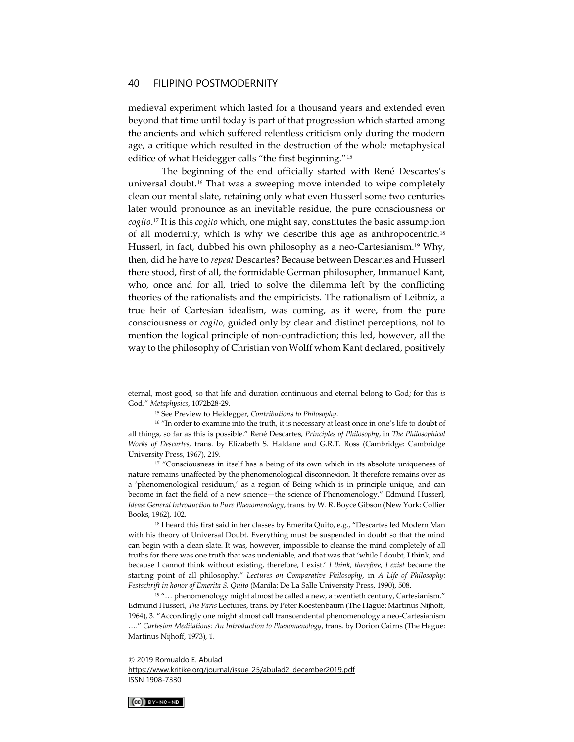medieval experiment which lasted for a thousand years and extended even beyond that time until today is part of that progression which started among the ancients and which suffered relentless criticism only during the modern age, a critique which resulted in the destruction of the whole metaphysical edifice of what Heidegger calls "the first beginning."<sup>15</sup>

The beginning of the end officially started with René Descartes's universal doubt.<sup>16</sup> That was a sweeping move intended to wipe completely clean our mental slate, retaining only what even Husserl some two centuries later would pronounce as an inevitable residue, the pure consciousness or *cogito*. <sup>17</sup> It is this *cogito* which, one might say, constitutes the basic assumption of all modernity, which is why we describe this age as anthropocentric.<sup>18</sup> Husserl, in fact, dubbed his own philosophy as a neo-Cartesianism.<sup>19</sup> Why, then, did he have to *repeat* Descartes? Because between Descartes and Husserl there stood, first of all, the formidable German philosopher, Immanuel Kant, who, once and for all, tried to solve the dilemma left by the conflicting theories of the rationalists and the empiricists. The rationalism of Leibniz, a true heir of Cartesian idealism, was coming, as it were, from the pure consciousness or *cogito*, guided only by clear and distinct perceptions, not to mention the logical principle of non-contradiction; this led, however, all the way to the philosophy of Christian von Wolff whom Kant declared, positively

[https://www.kritike.org/journal/issue\\_25/abulad2\\_december2019.pdf](https://www.kritike.org/journal/issue_25/abulad2_december2019.pdf) ISSN 1908-7330



eternal, most good, so that life and duration continuous and eternal belong to God; for this *is*  God." *Metaphysics*, 1072b28-29.

<sup>15</sup> See Preview to Heidegger, *Contributions to Philosophy*.

<sup>&</sup>lt;sup>16</sup> "In order to examine into the truth, it is necessary at least once in one's life to doubt of all things, so far as this is possible." René Descartes, *Principles of Philosophy*, in *The Philosophical Works of Descartes,* trans. by Elizabeth S. Haldane and G.R.T. Ross (Cambridge: Cambridge University Press, 1967), 219.

<sup>&</sup>lt;sup>17</sup> "Consciousness in itself has a being of its own which in its absolute uniqueness of nature remains unaffected by the phenomenological disconnexion. It therefore remains over as a 'phenomenological residuum,' as a region of Being which is in principle unique, and can become in fact the field of a new science—the science of Phenomenology." Edmund Husserl, *Ideas: General Introduction to Pure Phenomenology*, trans. by W. R. Boyce Gibson (New York: Collier Books, 1962), 102.

<sup>18</sup> I heard this first said in her classes by Emerita Quito, e.g., "Descartes led Modern Man with his theory of Universal Doubt. Everything must be suspended in doubt so that the mind can begin with a clean slate. It was, however, impossible to cleanse the mind completely of all truths for there was one truth that was undeniable, and that was that 'while I doubt, I think, and because I cannot think without existing, therefore, I exist.' *I think, therefore, I exist* became the starting point of all philosophy." *Lectures on Comparative Philosophy*, in *A Life of Philosophy: Festschrift in honor of Emerita S. Quito* (Manila: De La Salle University Press, 1990), 508.

 $19$  "... phenomenology might almost be called a new, a twentieth century, Cartesianism." Edmund Husserl, *The Paris* Lectures, trans. by Peter Koestenbaum (The Hague: Martinus Nijhoff, 1964), 3. "Accordingly one might almost call transcendental phenomenology a neo-Cartesianism …." *Cartesian Meditations: An Introduction to Phenomenology*, trans. by Dorion Cairns (The Hague: Martinus Nijhoff, 1973), 1.

<sup>© 2019</sup> Romualdo E. Abulad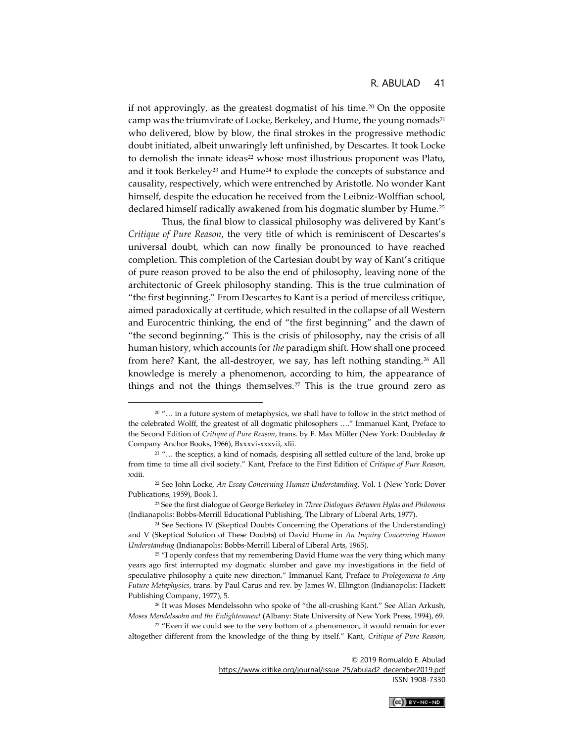if not approvingly, as the greatest dogmatist of his time.<sup>20</sup> On the opposite camp was the triumvirate of Locke, Berkeley, and Hume, the young nomads<sup>21</sup> who delivered, blow by blow, the final strokes in the progressive methodic doubt initiated, albeit unwaringly left unfinished, by Descartes. It took Locke to demolish the innate ideas<sup>22</sup> whose most illustrious proponent was Plato, and it took Berkeley<sup>23</sup> and Hume<sup>24</sup> to explode the concepts of substance and causality, respectively, which were entrenched by Aristotle. No wonder Kant himself, despite the education he received from the Leibniz-Wolffian school, declared himself radically awakened from his dogmatic slumber by Hume.<sup>25</sup>

Thus, the final blow to classical philosophy was delivered by Kant's *Critique of Pure Reason*, the very title of which is reminiscent of Descartes's universal doubt, which can now finally be pronounced to have reached completion. This completion of the Cartesian doubt by way of Kant's critique of pure reason proved to be also the end of philosophy, leaving none of the architectonic of Greek philosophy standing. This is the true culmination of "the first beginning." From Descartes to Kant is a period of merciless critique, aimed paradoxically at certitude, which resulted in the collapse of all Western and Eurocentric thinking, the end of "the first beginning" and the dawn of "the second beginning." This is the crisis of philosophy, nay the crisis of all human history, which accounts for *the* paradigm shift. How shall one proceed from here? Kant, the all-destroyer, we say, has left nothing standing.<sup>26</sup> All knowledge is merely a phenomenon, according to him, the appearance of things and not the things themselves.<sup>27</sup> This is the true ground zero as

© 2019 Romualdo E. Abulad

[https://www.kritike.org/journal/issue\\_25/abulad2\\_december2019.pdf](https://www.kritike.org/journal/issue_25/abulad2_december2019.pdf) ISSN 1908-7330

 $(Cc)$  BY-NC-ND

<sup>&</sup>lt;sup>20</sup> "... in a future system of metaphysics, we shall have to follow in the strict method of the celebrated Wolff, the greatest of all dogmatic philosophers …." Immanuel Kant, Preface to the Second Edition of *Critique of Pure Reason*, trans. by F. Max Müller (New York: Doubleday & Company Anchor Books, 1966), Bxxxvi-xxxvii, xlii.

<sup>&</sup>lt;sup>21</sup> "... the sceptics, a kind of nomads, despising all settled culture of the land, broke up from time to time all civil society." Kant, Preface to the First Edition of *Critique of Pure Reason*, xxiii.

<sup>22</sup> See John Locke, *An Essay Concerning Human Understanding*, Vol. 1 (New York: Dover Publications, 1959), Book I.

<sup>23</sup> See the first dialogue of George Berkeley in *Three Dialogues Between Hylas and Philonous*  (Indianapolis: Bobbs-Merrill Educational Publishing, The Library of Liberal Arts, 1977).

<sup>24</sup> See Sections IV (Skeptical Doubts Concerning the Operations of the Understanding) and V (Skeptical Solution of These Doubts) of David Hume in *An Inquiry Concerning Human Understanding* (Indianapolis: Bobbs-Merrill Liberal of Liberal Arts, 1965).

<sup>&</sup>lt;sup>25</sup> "I openly confess that my remembering David Hume was the very thing which many years ago first interrupted my dogmatic slumber and gave my investigations in the field of speculative philosophy a quite new direction." Immanuel Kant, Preface to *Prolegomena to Any Future Metaphysics*, trans. by Paul Carus and rev. by James W. Ellington (Indianapolis: Hackett Publishing Company, 1977), 5.

<sup>26</sup> It was Moses Mendelssohn who spoke of "the all-crushing Kant." See Allan Arkush, *Moses Mendelssohn and the Enlightenment* (Albany: State University of New York Press, 1994), 69.

<sup>&</sup>lt;sup>27</sup> "Even if we could see to the very bottom of a phenomenon, it would remain for ever altogether different from the knowledge of the thing by itself." Kant, *Critique of Pure Reason*,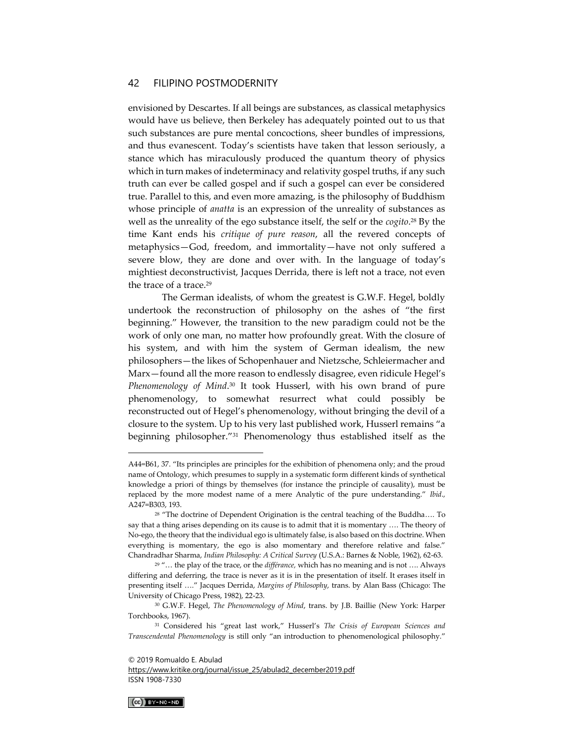envisioned by Descartes. If all beings are substances, as classical metaphysics would have us believe, then Berkeley has adequately pointed out to us that such substances are pure mental concoctions, sheer bundles of impressions, and thus evanescent. Today's scientists have taken that lesson seriously, a stance which has miraculously produced the quantum theory of physics which in turn makes of indeterminacy and relativity gospel truths, if any such truth can ever be called gospel and if such a gospel can ever be considered true. Parallel to this, and even more amazing, is the philosophy of Buddhism whose principle of *anatta* is an expression of the unreality of substances as well as the unreality of the ego substance itself, the self or the *cogito*. <sup>28</sup> By the time Kant ends his *critique of pure reason*, all the revered concepts of metaphysics—God, freedom, and immortality—have not only suffered a severe blow, they are done and over with. In the language of today's mightiest deconstructivist, Jacques Derrida, there is left not a trace, not even the trace of a trace.<sup>29</sup>

The German idealists, of whom the greatest is G.W.F. Hegel, boldly undertook the reconstruction of philosophy on the ashes of "the first beginning." However, the transition to the new paradigm could not be the work of only one man, no matter how profoundly great. With the closure of his system, and with him the system of German idealism, the new philosophers—the likes of Schopenhauer and Nietzsche, Schleiermacher and Marx—found all the more reason to endlessly disagree, even ridicule Hegel's *Phenomenology of Mind*. <sup>30</sup> It took Husserl, with his own brand of pure phenomenology, to somewhat resurrect what could possibly be reconstructed out of Hegel's phenomenology, without bringing the devil of a closure to the system. Up to his very last published work, Husserl remains "a beginning philosopher."<sup>31</sup> Phenomenology thus established itself as the

[https://www.kritike.org/journal/issue\\_25/abulad2\\_december2019.pdf](https://www.kritike.org/journal/issue_25/abulad2_december2019.pdf) ISSN 1908-7330



A44=B61, 37. "Its principles are principles for the exhibition of phenomena only; and the proud name of Ontology, which presumes to supply in a systematic form different kinds of synthetical knowledge a priori of things by themselves (for instance the principle of causality), must be replaced by the more modest name of a mere Analytic of the pure understanding." *Ibid*.*,*  A247=B303, 193.

<sup>28</sup> "The doctrine of Dependent Origination is the central teaching of the Buddha…. To say that a thing arises depending on its cause is to admit that it is momentary …. The theory of No-ego, the theory that the individual ego is ultimately false, is also based on this doctrine. When everything is momentary, the ego is also momentary and therefore relative and false." Chandradhar Sharma, *Indian Philosophy: A Critical Survey* (U.S.A.: Barnes & Noble, 1962), 62-63.

<sup>29</sup> "… the play of the trace, or the *différance,* which has no meaning and is not …. Always differing and deferring, the trace is never as it is in the presentation of itself. It erases itself in presenting itself …." Jacques Derrida, *Margins of Philosophy*, trans. by Alan Bass (Chicago: The University of Chicago Press, 1982), 22-23.

<sup>30</sup> G.W.F. Hegel, *The Phenomenology of Mind*, trans. by J.B. Baillie (New York: Harper Torchbooks, 1967).

<sup>31</sup> Considered his "great last work," Husserl's *The Crisis of European Sciences and Transcendental Phenomenology* is still only "an introduction to phenomenological philosophy."

<sup>© 2019</sup> Romualdo E. Abulad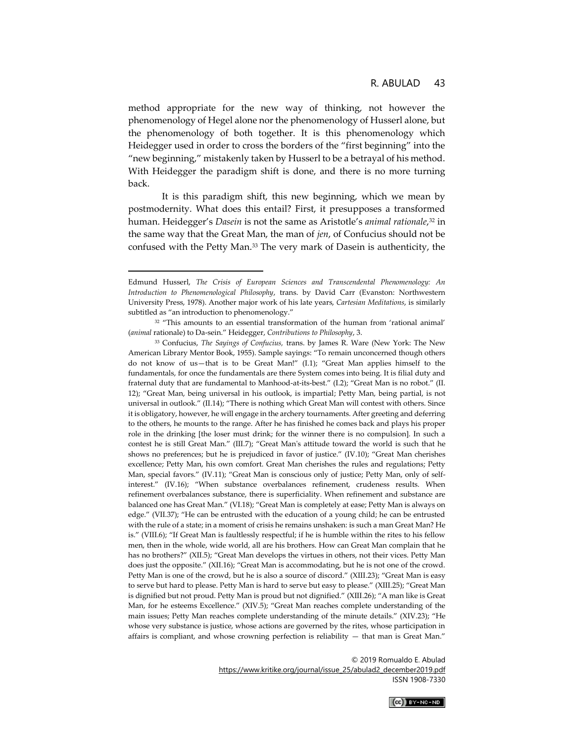method appropriate for the new way of thinking, not however the phenomenology of Hegel alone nor the phenomenology of Husserl alone, but the phenomenology of both together. It is this phenomenology which Heidegger used in order to cross the borders of the "first beginning" into the "new beginning," mistakenly taken by Husserl to be a betrayal of his method. With Heidegger the paradigm shift is done, and there is no more turning back.

It is this paradigm shift, this new beginning, which we mean by postmodernity. What does this entail? First, it presupposes a transformed human. Heidegger's *Dasein* is not the same as Aristotle's *animal rationale*, <sup>32</sup> in the same way that the Great Man, the man of *jen*, of Confucius should not be confused with the Petty Man.<sup>33</sup> The very mark of Dasein is authenticity, the

<sup>© 2019</sup> Romualdo E. Abulad [https://www.kritike.org/journal/issue\\_25/abulad2\\_december2019.pdf](https://www.kritike.org/journal/issue_25/abulad2_december2019.pdf) ISSN 1908-7330



Edmund Husserl, *The Crisis of European Sciences and Transcendental Phenomenology: An Introduction to Phenomenological Philosophy*, trans. by David Carr (Evanston: Northwestern University Press, 1978). Another major work of his late years, *Cartesian Meditations*, is similarly subtitled as "an introduction to phenomenology."

<sup>&</sup>lt;sup>32</sup> "This amounts to an essential transformation of the human from 'rational animal' (*animal* rationale) to Da-sein." Heidegger, *Contributions to Philosophy*, 3.

<sup>33</sup> Confucius, *The Sayings of Confucius,* trans. by James R. Ware (New York: The New American Library Mentor Book, 1955). Sample sayings: "To remain unconcerned though others do not know of us—that is to be Great Man!" (I.1); "Great Man applies himself to the fundamentals, for once the fundamentals are there System comes into being. It is filial duty and fraternal duty that are fundamental to Manhood-at-its-best." (I.2); "Great Man is no robot." (II. 12); "Great Man, being universal in his outlook, is impartial; Petty Man, being partial, is not universal in outlook." (II.14); "There is nothing which Great Man will contest with others. Since it is obligatory, however, he will engage in the archery tournaments. After greeting and deferring to the others, he mounts to the range. After he has finished he comes back and plays his proper role in the drinking [the loser must drink; for the winner there is no compulsion]. In such a contest he is still Great Man." (III.7); "Great Man's attitude toward the world is such that he shows no preferences; but he is prejudiced in favor of justice." (IV.10); "Great Man cherishes excellence; Petty Man, his own comfort. Great Man cherishes the rules and regulations; Petty Man, special favors." (IV.11); "Great Man is conscious only of justice; Petty Man, only of selfinterest." (IV.16); "When substance overbalances refinement, crudeness results. When refinement overbalances substance, there is superficiality. When refinement and substance are balanced one has Great Man." (VI.18); "Great Man is completely at ease; Petty Man is always on edge." (VII.37); "He can be entrusted with the education of a young child; he can be entrusted with the rule of a state; in a moment of crisis he remains unshaken: is such a man Great Man? He is." (VIII.6); "If Great Man is faultlessly respectful; if he is humble within the rites to his fellow men, then in the whole, wide world, all are his brothers. How can Great Man complain that he has no brothers?" (XII.5); "Great Man develops the virtues in others, not their vices. Petty Man does just the opposite." (XII.16); "Great Man is accommodating, but he is not one of the crowd. Petty Man is one of the crowd, but he is also a source of discord." (XIII.23); "Great Man is easy to serve but hard to please. Petty Man is hard to serve but easy to please." (XIII.25); "Great Man is dignified but not proud. Petty Man is proud but not dignified." (XIII.26); "A man like is Great Man, for he esteems Excellence." (XIV.5); "Great Man reaches complete understanding of the main issues; Petty Man reaches complete understanding of the minute details." (XIV.23); "He whose very substance is justice, whose actions are governed by the rites, whose participation in affairs is compliant, and whose crowning perfection is reliability — that man is Great Man."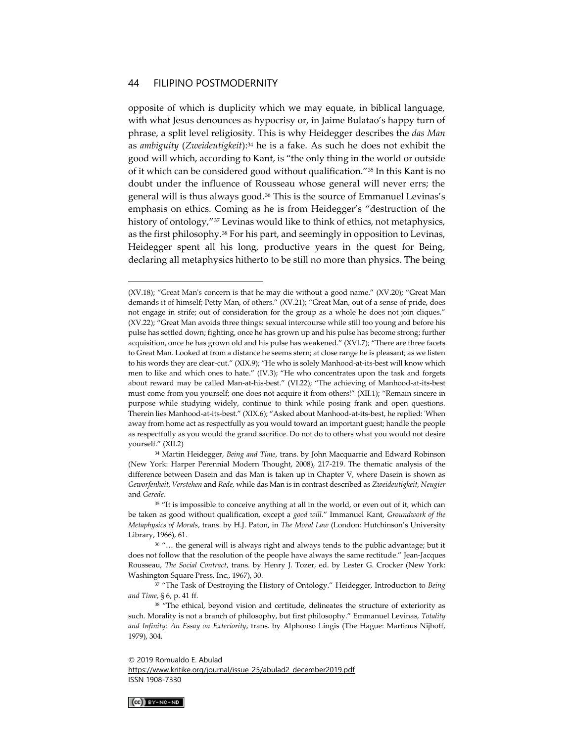opposite of which is duplicity which we may equate, in biblical language, with what Jesus denounces as hypocrisy or, in Jaime Bulatao's happy turn of phrase, a split level religiosity*.* This is why Heidegger describes the *das Man* as *ambiguity* (*Zweideutigkeit*): <sup>34</sup> he is a fake. As such he does not exhibit the good will which, according to Kant, is "the only thing in the world or outside of it which can be considered good without qualification."<sup>35</sup> In this Kant is no doubt under the influence of Rousseau whose general will never errs; the general will is thus always good.<sup>36</sup> This is the source of Emmanuel Levinas's emphasis on ethics. Coming as he is from Heidegger's "destruction of the history of ontology,"<sup>37</sup> Levinas would like to think of ethics, not metaphysics, as the first philosophy.<sup>38</sup> For his part, and seemingly in opposition to Levinas, Heidegger spent all his long, productive years in the quest for Being, declaring all metaphysics hitherto to be still no more than physics. The being

[https://www.kritike.org/journal/issue\\_25/abulad2\\_december2019.pdf](https://www.kritike.org/journal/issue_25/abulad2_december2019.pdf) ISSN 1908-7330



<sup>(</sup>XV.18); "Great Man's concern is that he may die without a good name." (XV.20); "Great Man demands it of himself; Petty Man, of others." (XV.21); "Great Man, out of a sense of pride, does not engage in strife; out of consideration for the group as a whole he does not join cliques." (XV.22); "Great Man avoids three things: sexual intercourse while still too young and before his pulse has settled down; fighting, once he has grown up and his pulse has become strong; further acquisition, once he has grown old and his pulse has weakened." (XVI.7); "There are three facets to Great Man. Looked at from a distance he seems stern; at close range he is pleasant; as we listen to his words they are clear-cut." (XIX.9); "He who is solely Manhood-at-its-best will know which men to like and which ones to hate." (IV.3); "He who concentrates upon the task and forgets about reward may be called Man-at-his-best." (VI.22); "The achieving of Manhood-at-its-best must come from you yourself; one does not acquire it from others!" (XII.1); "Remain sincere in purpose while studying widely, continue to think while posing frank and open questions. Therein lies Manhood-at-its-best." (XIX.6); "Asked about Manhood-at-its-best, he replied: 'When away from home act as respectfully as you would toward an important guest; handle the people as respectfully as you would the grand sacrifice. Do not do to others what you would not desire yourself." (XII.2)

<sup>34</sup> Martin Heidegger, *Being and Time*, trans. by John Macquarrie and Edward Robinson (New York: Harper Perennial Modern Thought, 2008), 217-219. The thematic analysis of the difference between Dasein and das Man is taken up in Chapter V, where Dasein is shown as *Geworfenheit, Verstehen* and *Rede,* while das Man is in contrast described as *Zweideutigkeit, Neugier*  and *Gerede.*

<sup>&</sup>lt;sup>35</sup> "It is impossible to conceive anything at all in the world, or even out of it, which can be taken as good without qualification, except a *good will.*" Immanuel Kant, *Groundwork of the Metaphysics of Morals*, trans. by H.J. Paton, in *The Moral Law* (London: Hutchinson's University Library, 1966), 61.

<sup>36</sup> "… the general will is always right and always tends to the public advantage; but it does not follow that the resolution of the people have always the same rectitude." Jean-Jacques Rousseau, *The Social Contract*, trans. by Henry J. Tozer, ed. by Lester G. Crocker (New York: Washington Square Press, Inc., 1967), 30.

<sup>37</sup> "The Task of Destroying the History of Ontology." Heidegger, Introduction to *Being and Time*, § 6, p. 41 ff.

<sup>38</sup> "The ethical, beyond vision and certitude, delineates the structure of exteriority as such. Morality is not a branch of philosophy, but first philosophy." Emmanuel Levinas, *Totality and Infinity: An Essay on Exteriority*, trans. by Alphonso Lingis (The Hague: Martinus Nijhoff, 1979), 304.

<sup>© 2019</sup> Romualdo E. Abulad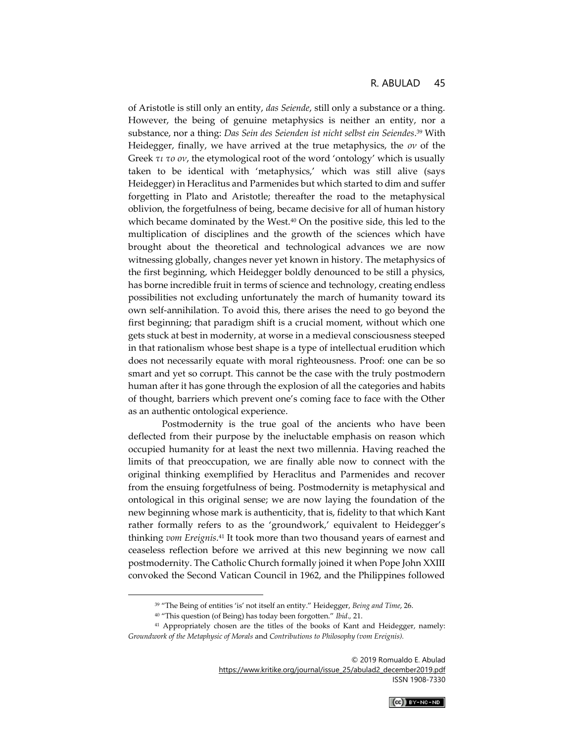of Aristotle is still only an entity, *das Seiende*, still only a substance or a thing. However, the being of genuine metaphysics is neither an entity, nor a substance, nor a thing: *Das Sein des Seienden ist nicht selbst ein Seiendes*. <sup>39</sup> With Heidegger, finally, we have arrived at the true metaphysics, the *ον* of the Greek *τι το ον*, the etymological root of the word 'ontology' which is usually taken to be identical with 'metaphysics,' which was still alive (says Heidegger) in Heraclitus and Parmenides but which started to dim and suffer forgetting in Plato and Aristotle; thereafter the road to the metaphysical oblivion, the forgetfulness of being, became decisive for all of human history which became dominated by the West.<sup>40</sup> On the positive side, this led to the multiplication of disciplines and the growth of the sciences which have brought about the theoretical and technological advances we are now witnessing globally, changes never yet known in history. The metaphysics of the first beginning, which Heidegger boldly denounced to be still a physics, has borne incredible fruit in terms of science and technology, creating endless possibilities not excluding unfortunately the march of humanity toward its own self-annihilation. To avoid this, there arises the need to go beyond the first beginning; that paradigm shift is a crucial moment, without which one gets stuck at best in modernity, at worse in a medieval consciousness steeped in that rationalism whose best shape is a type of intellectual erudition which does not necessarily equate with moral righteousness. Proof: one can be so smart and yet so corrupt. This cannot be the case with the truly postmodern human after it has gone through the explosion of all the categories and habits of thought, barriers which prevent one's coming face to face with the Other as an authentic ontological experience.

Postmodernity is the true goal of the ancients who have been deflected from their purpose by the ineluctable emphasis on reason which occupied humanity for at least the next two millennia. Having reached the limits of that preoccupation, we are finally able now to connect with the original thinking exemplified by Heraclitus and Parmenides and recover from the ensuing forgetfulness of being. Postmodernity is metaphysical and ontological in this original sense; we are now laying the foundation of the new beginning whose mark is authenticity, that is, fidelity to that which Kant rather formally refers to as the 'groundwork,' equivalent to Heidegger's thinking *vom Ereignis*. <sup>41</sup> It took more than two thousand years of earnest and ceaseless reflection before we arrived at this new beginning we now call postmodernity. The Catholic Church formally joined it when Pope John XXIII convoked the Second Vatican Council in 1962, and the Philippines followed

<sup>39</sup> "The Being of entities 'is' not itself an entity." Heidegger, *Being and Time*, 26.

<sup>40</sup> "This question (of Being) has today been forgotten." *Ibid*.*,* 21.

<sup>41</sup> Appropriately chosen are the titles of the books of Kant and Heidegger, namely: *Groundwork of the Metaphysic of Morals* and *Contributions to Philosophy (vom Ereignis).*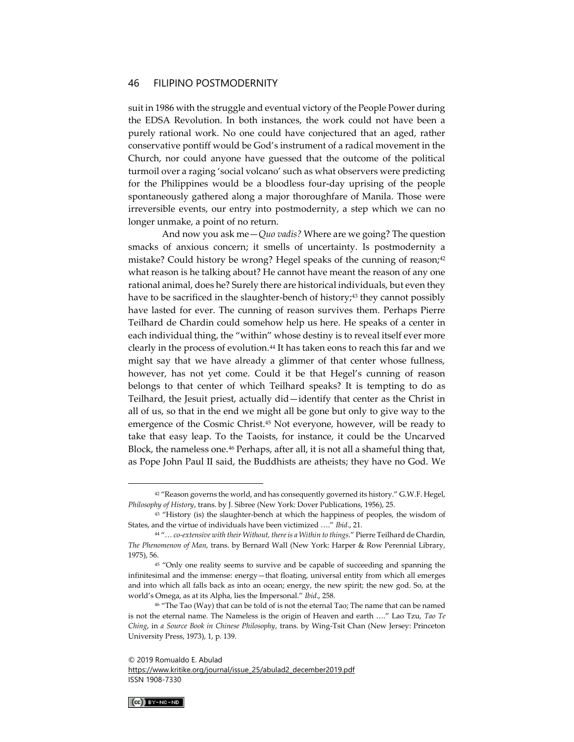suit in 1986 with the struggle and eventual victory of the People Power during the EDSA Revolution. In both instances, the work could not have been a purely rational work. No one could have conjectured that an aged, rather conservative pontiff would be God's instrument of a radical movement in the Church, nor could anyone have guessed that the outcome of the political turmoil over a raging 'social volcano' such as what observers were predicting for the Philippines would be a bloodless four-day uprising of the people spontaneously gathered along a major thoroughfare of Manila. Those were irreversible events, our entry into postmodernity, a step which we can no longer unmake, a point of no return.

And now you ask me—*Quo vadis?* Where are we going? The question smacks of anxious concern; it smells of uncertainty. Is postmodernity a mistake? Could history be wrong? Hegel speaks of the cunning of reason;<sup>42</sup> what reason is he talking about? He cannot have meant the reason of any one rational animal, does he? Surely there are historical individuals, but even they have to be sacrificed in the slaughter-bench of history;<sup>43</sup> they cannot possibly have lasted for ever. The cunning of reason survives them. Perhaps Pierre Teilhard de Chardin could somehow help us here. He speaks of a center in each individual thing, the "within" whose destiny is to reveal itself ever more clearly in the process of evolution.<sup>44</sup> It has taken eons to reach this far and we might say that we have already a glimmer of that center whose fullness, however, has not yet come. Could it be that Hegel's cunning of reason belongs to that center of which Teilhard speaks? It is tempting to do as Teilhard, the Jesuit priest, actually did—identify that center as the Christ in all of us, so that in the end we might all be gone but only to give way to the emergence of the Cosmic Christ.<sup>45</sup> Not everyone, however, will be ready to take that easy leap. To the Taoists, for instance, it could be the Uncarved Block, the nameless one.<sup>46</sup> Perhaps, after all, it is not all a shameful thing that, as Pope John Paul II said, the Buddhists are atheists; they have no God. We

[https://www.kritike.org/journal/issue\\_25/abulad2\\_december2019.pdf](https://www.kritike.org/journal/issue_25/abulad2_december2019.pdf) ISSN 1908-7330



<sup>&</sup>lt;sup>42</sup> "Reason governs the world, and has consequently governed its history." G.W.F. Hegel, *Philosophy of History*, trans. by J. Sibree (New York: Dover Publications, 1956), 25.

<sup>&</sup>lt;sup>43</sup> "History (is) the slaughter-bench at which the happiness of peoples, the wisdom of States, and the virtue of individuals have been victimized …." *Ibid*., 21.

<sup>44</sup> "… *co-extensive with their Without, there is a Within to things*." Pierre Teilhard de Chardin, *The Phenomenon of Man*, trans. by Bernard Wall (New York: Harper & Row Perennial Library, 1975), 56.

<sup>45</sup> "Only one reality seems to survive and be capable of succeeding and spanning the infinitesimal and the immense: energy—that floating, universal entity from which all emerges and into which all falls back as into an ocean; energy, the new spirit; the new god. So, at the world's Omega, as at its Alpha, lies the Impersonal." *Ibid*., 258.

<sup>&</sup>lt;sup>46</sup> "The Tao (Way) that can be told of is not the eternal Tao; The name that can be named is not the eternal name. The Nameless is the origin of Heaven and earth …." Lao Tzu, *Tao Te Ching*, in *a Source Book in Chinese Philosophy*, trans. by Wing-Tsit Chan (New Jersey: Princeton University Press, 1973), 1, p. 139.

<sup>© 2019</sup> Romualdo E. Abulad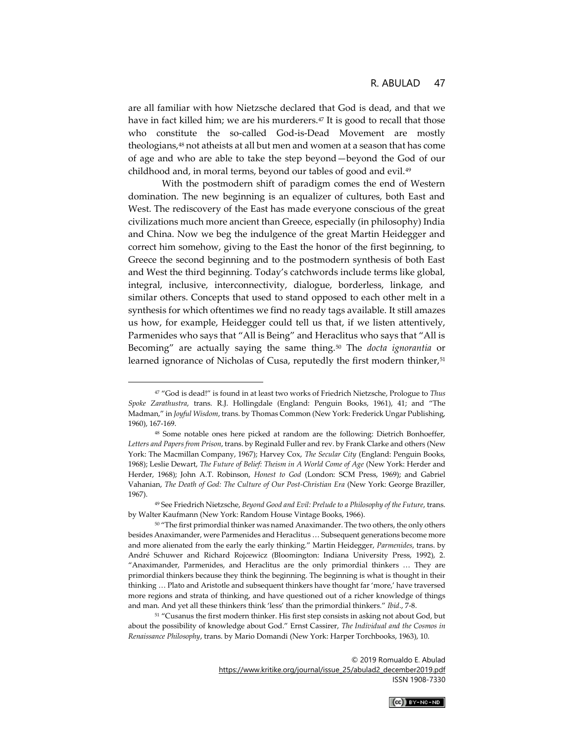are all familiar with how Nietzsche declared that God is dead, and that we have in fact killed him; we are his murderers. $47$  It is good to recall that those who constitute the so-called God-is-Dead Movement are mostly theologians,<sup>48</sup> not atheists at all but men and women at a season that has come of age and who are able to take the step beyond—beyond the God of our childhood and, in moral terms, beyond our tables of good and evil.<sup>49</sup>

With the postmodern shift of paradigm comes the end of Western domination. The new beginning is an equalizer of cultures, both East and West. The rediscovery of the East has made everyone conscious of the great civilizations much more ancient than Greece, especially (in philosophy) India and China. Now we beg the indulgence of the great Martin Heidegger and correct him somehow, giving to the East the honor of the first beginning, to Greece the second beginning and to the postmodern synthesis of both East and West the third beginning. Today's catchwords include terms like global, integral, inclusive, interconnectivity, dialogue, borderless, linkage, and similar others. Concepts that used to stand opposed to each other melt in a synthesis for which oftentimes we find no ready tags available. It still amazes us how, for example, Heidegger could tell us that, if we listen attentively, Parmenides who says that "All is Being" and Heraclitus who says that "All is Becoming" are actually saying the same thing.<sup>50</sup> The *docta ignorantia* or learned ignorance of Nicholas of Cusa, reputedly the first modern thinker,<sup>51</sup>

<sup>51</sup> "Cusanus the first modern thinker. His first step consists in asking not about God, but about the possibility of knowledge about God." Ernst Cassirer, *The Individual and the Cosmos in Renaissance Philosophy*, trans. by Mario Domandi (New York: Harper Torchbooks, 1963), 10.



<sup>47</sup> "God is dead!" is found in at least two works of Friedrich Nietzsche, Prologue to *Thus Spoke Zarathustra*, trans. R.J. Hollingdale (England: Penguin Books, 1961), 41; and "The Madman," in *Joyful Wisdom*, trans. by Thomas Common (New York: Frederick Ungar Publishing, 1960), 167-169.

<sup>48</sup> Some notable ones here picked at random are the following: Dietrich Bonhoeffer, *Letters and Papers from Prison*, trans. by Reginald Fuller and rev. by Frank Clarke and others (New York: The Macmillan Company, 1967); Harvey Cox, *The Secular City* (England: Penguin Books, 1968); Leslie Dewart, *The Future of Belief: Theism in A World Come of Age* (New York: Herder and Herder, 1968); John A.T. Robinson, *Honest to God* (London: SCM Press, 1969); and Gabriel Vahanian, *The Death of God: The Culture of Our Post-Christian Era* (New York: George Braziller, 1967).

<sup>49</sup> See Friedrich Nietzsche, *Beyond Good and Evil: Prelude to a Philosophy of the Future*, trans. by Walter Kaufmann (New York: Random House Vintage Books, 1966).

<sup>50</sup> "The first primordial thinker was named Anaximander. The two others, the only others besides Anaximander, were Parmenides and Heraclitus … Subsequent generations become more and more alienated from the early the early thinking." Martin Heidegger, *Parmenides*, trans. by André Schuwer and Richard Rojcewicz (Bloomington: Indiana University Press, 1992), 2. "Anaximander, Parmenides, and Heraclitus are the only primordial thinkers … They are primordial thinkers because they think the beginning. The beginning is what is thought in their thinking … Plato and Aristotle and subsequent thinkers have thought far 'more,' have traversed more regions and strata of thinking, and have questioned out of a richer knowledge of things and man. And yet all these thinkers think 'less' than the primordial thinkers." *Ibid*., 7-8.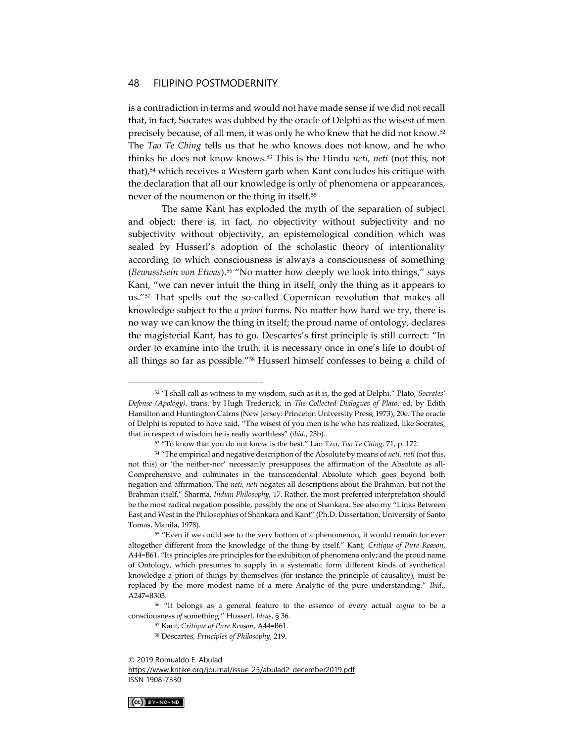is a contradiction in terms and would not have made sense if we did not recall that, in fact, Socrates was dubbed by the oracle of Delphi as the wisest of men precisely because, of all men, it was only he who knew that he did not know.<sup>52</sup> The *Tao Te Ching* tells us that he who knows does not know, and he who thinks he does not know knows.<sup>53</sup> This is the Hindu *neti, neti* (not this, not that),<sup>54</sup> which receives a Western garb when Kant concludes his critique with the declaration that all our knowledge is only of phenomena or appearances, never of the noumenon or the thing in itself.<sup>55</sup>

The same Kant has exploded the myth of the separation of subject and object; there is, in fact, no objectivity without subjectivity and no subjectivity without objectivity, an epistemological condition which was sealed by Husserl's adoption of the scholastic theory of intentionality according to which consciousness is always a consciousness of something (*Bewusstsein von Etwas*).<sup>56</sup> "No matter how deeply we look into things," says Kant, "we can never intuit the thing in itself, only the thing as it appears to us."<sup>57</sup> That spells out the so-called Copernican revolution that makes all knowledge subject to the *a priori* forms. No matter how hard we try, there is no way we can know the thing in itself; the proud name of ontology, declares the magisterial Kant, has to go. Descartes's first principle is still correct: "In order to examine into the truth, it is necessary once in one's life to doubt of all things so far as possible."<sup>58</sup> Husserl himself confesses to being a child of

[https://www.kritike.org/journal/issue\\_25/abulad2\\_december2019.pdf](https://www.kritike.org/journal/issue_25/abulad2_december2019.pdf) ISSN 1908-7330



<sup>52</sup> "I shall call as witness to my wisdom, such as it is, the god at Delphi." Plato, *Socrates' Defense (Apology)*, trans. by Hugh Tredenick, in *The Collected Dialogues of Plato*, ed. by Edith Hamilton and Huntington Cairns (New Jersey: Princeton University Press, 1973), 20e. The oracle of Delphi is reputed to have said, "The wisest of you men is he who has realized, like Socrates, that in respect of wisdom he is really worthless" (*ibid*., 23b).

<sup>53</sup> "To know that you do not know is the best." Lao Tzu, *Tao Te Ching,* 71, p. 172.

<sup>54</sup> "The empirical and negative description of the Absolute by means of *neti, neti* (not this, not this) or 'the neither-nor' necessarily presupposes the affirmation of the Absolute as all-Comprehensive and culminates in the transcendental Absolute which goes beyond both negation and affirmation. The *neti, neti* negates all descriptions about the Brahman, but not the Brahman itself." Sharma, *Indian Philosophy,* 17. Rather, the most preferred interpretation should be the most radical negation possible, possibly the one of Shankara. See also my "Links Between East and West in the Philosophies of Shankara and Kant" (Ph.D. Dissertation, University of Santo Tomas, Manila, 1978).

<sup>&</sup>lt;sup>55</sup> "Even if we could see to the very bottom of a phenomenon, it would remain for ever altogether different from the knowledge of the thing by itself." Kant, *Critique of Pure Reason*, A44=B61. "Its principles are principles for the exhibition of phenomena only; and the proud name of Ontology, which presumes to supply in a systematic form different kinds of synthetical knowledge a priori of things by themselves (for instance the principle of causality), must be replaced by the more modest name of a mere Analytic of the pure understanding." *Ibid*., A247=B303.

<sup>56</sup> "It belongs as a general feature to the essence of every actual *cogito* to be a consciousness *of* something." Husserl, *Ideas*, § 36.

<sup>57</sup> Kant, *Critique of Pure Reason*, A44=B61.

<sup>58</sup> Descartes, *Principles of Philosophy*, 219.

<sup>© 2019</sup> Romualdo E. Abulad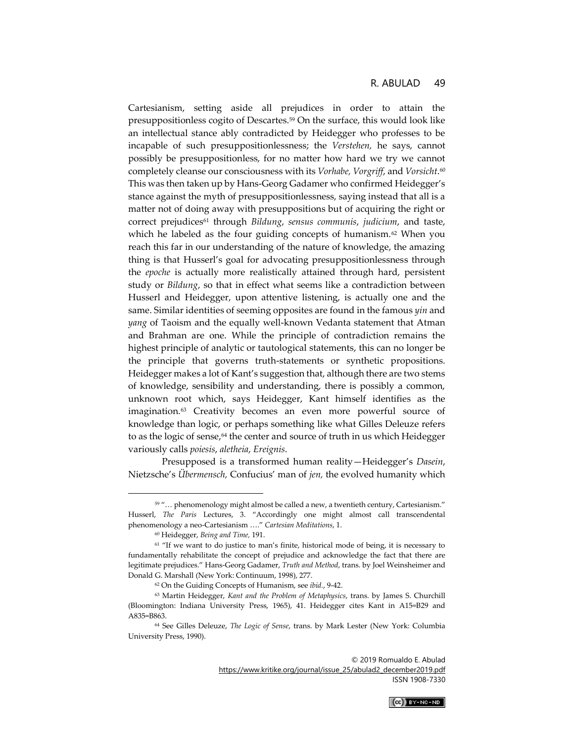Cartesianism, setting aside all prejudices in order to attain the presuppositionless cogito of Descartes.<sup>59</sup> On the surface, this would look like an intellectual stance ably contradicted by Heidegger who professes to be incapable of such presuppositionlessness; the *Verstehen,* he says, cannot possibly be presuppositionless, for no matter how hard we try we cannot completely cleanse our consciousness with its *Vorhabe, Vorgriff*, and *Vorsicht*. 60 This was then taken up by Hans-Georg Gadamer who confirmed Heidegger's stance against the myth of presuppositionlessness, saying instead that all is a matter not of doing away with presuppositions but of acquiring the right or correct prejudices<sup>61</sup> through *Bildung*, *sensus communis*, *judicium*, and taste, which he labeled as the four guiding concepts of humanism.<sup>62</sup> When you reach this far in our understanding of the nature of knowledge, the amazing thing is that Husserl's goal for advocating presuppositionlessness through the *epoche* is actually more realistically attained through hard, persistent study or *Bildung*, so that in effect what seems like a contradiction between Husserl and Heidegger, upon attentive listening, is actually one and the same. Similar identities of seeming opposites are found in the famous *yin* and *yang* of Taoism and the equally well-known Vedanta statement that Atman and Brahman are one. While the principle of contradiction remains the highest principle of analytic or tautological statements, this can no longer be the principle that governs truth-statements or synthetic propositions. Heidegger makes a lot of Kant's suggestion that, although there are two stems of knowledge, sensibility and understanding, there is possibly a common, unknown root which, says Heidegger, Kant himself identifies as the imagination.<sup>63</sup> Creativity becomes an even more powerful source of knowledge than logic, or perhaps something like what Gilles Deleuze refers to as the logic of sense,<sup>64</sup> the center and source of truth in us which Heidegger variously calls *poiesis*, *aletheia*, *Ereignis*.

Presupposed is a transformed human reality—Heidegger's *Dasein*, Nietzsche's *Übermensch,* Confucius' man of *jen,* the evolved humanity which

© 2019 Romualdo E. Abulad

[https://www.kritike.org/journal/issue\\_25/abulad2\\_december2019.pdf](https://www.kritike.org/journal/issue_25/abulad2_december2019.pdf) ISSN 1908-7330



<sup>&</sup>lt;sup>59</sup> "... phenomenology might almost be called a new, a twentieth century, Cartesianism." Husserl, *The Paris* Lectures, 3. "Accordingly one might almost call transcendental phenomenology a neo-Cartesianism …." *Cartesian Meditations*, 1.

<sup>60</sup> Heidegger, *Being and Time,* 191.

<sup>&</sup>lt;sup>61</sup> "If we want to do justice to man's finite, historical mode of being, it is necessary to fundamentally rehabilitate the concept of prejudice and acknowledge the fact that there are legitimate prejudices." Hans-Georg Gadamer, *Truth and Method*, trans. by Joel Weinsheimer and Donald G. Marshall (New York: Continuum, 1998), 277.

<sup>62</sup> On the Guiding Concepts of Humanism, see *ibid.*, 9-42.

<sup>63</sup> Martin Heidegger, *Kant and the Problem of Metaphysics*, trans. by James S. Churchill (Bloomington: Indiana University Press, 1965), 41. Heidegger cites Kant in A15=B29 and A835=B863.

<sup>64</sup> See Gilles Deleuze, *The Logic of Sense*, trans. by Mark Lester (New York: Columbia University Press, 1990).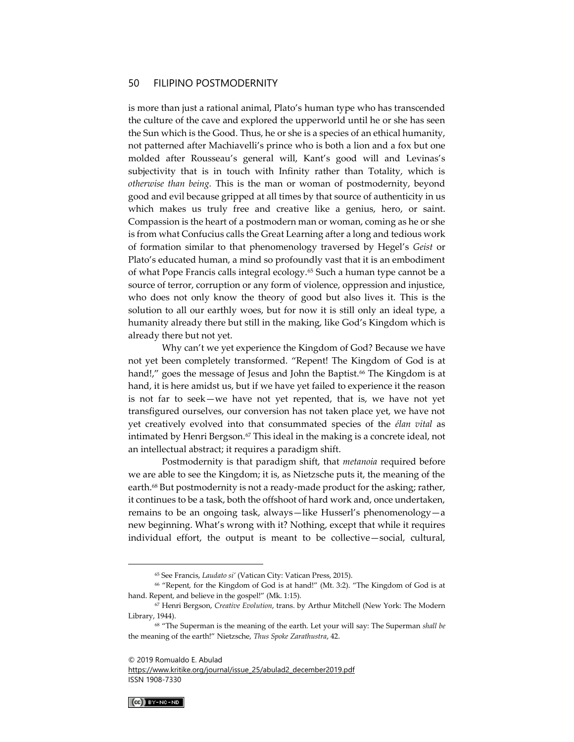is more than just a rational animal, Plato's human type who has transcended the culture of the cave and explored the upperworld until he or she has seen the Sun which is the Good. Thus, he or she is a species of an ethical humanity, not patterned after Machiavelli's prince who is both a lion and a fox but one molded after Rousseau's general will, Kant's good will and Levinas's subjectivity that is in touch with Infinity rather than Totality, which is *otherwise than being.* This is the man or woman of postmodernity, beyond good and evil because gripped at all times by that source of authenticity in us which makes us truly free and creative like a genius, hero, or saint. Compassion is the heart of a postmodern man or woman, coming as he or she is from what Confucius calls the Great Learning after a long and tedious work of formation similar to that phenomenology traversed by Hegel's *Geist* or Plato's educated human, a mind so profoundly vast that it is an embodiment of what Pope Francis calls integral ecology.<sup>65</sup> Such a human type cannot be a source of terror, corruption or any form of violence, oppression and injustice, who does not only know the theory of good but also lives it. This is the solution to all our earthly woes, but for now it is still only an ideal type, a humanity already there but still in the making, like God's Kingdom which is already there but not yet.

Why can't we yet experience the Kingdom of God? Because we have not yet been completely transformed. "Repent! The Kingdom of God is at hand!," goes the message of Jesus and John the Baptist.<sup>66</sup> The Kingdom is at hand, it is here amidst us, but if we have yet failed to experience it the reason is not far to seek—we have not yet repented, that is, we have not yet transfigured ourselves, our conversion has not taken place yet, we have not yet creatively evolved into that consummated species of the *élan vital* as intimated by Henri Bergson.<sup>67</sup> This ideal in the making is a concrete ideal, not an intellectual abstract; it requires a paradigm shift.

Postmodernity is that paradigm shift, that *metanoia* required before we are able to see the Kingdom; it is, as Nietzsche puts it, the meaning of the earth.<sup>68</sup> But postmodernity is not a ready-made product for the asking; rather, it continues to be a task, both the offshoot of hard work and, once undertaken, remains to be an ongoing task, always—like Husserl's phenomenology—a new beginning. What's wrong with it? Nothing, except that while it requires individual effort, the output is meant to be collective—social, cultural,

[https://www.kritike.org/journal/issue\\_25/abulad2\\_december2019.pdf](https://www.kritike.org/journal/issue_25/abulad2_december2019.pdf) ISSN 1908-7330



<sup>65</sup> See Francis, *Laudato si'* (Vatican City: Vatican Press, 2015).

<sup>66</sup> "Repent, for the Kingdom of God is at hand!" (Mt. 3:2). "The Kingdom of God is at hand. Repent, and believe in the gospel!" (Mk. 1:15).

<sup>67</sup> Henri Bergson, *Creative Evolution*, trans. by Arthur Mitchell (New York: The Modern Library, 1944).

<sup>68</sup> "The Superman is the meaning of the earth. Let your will say: The Superman *shall be*  the meaning of the earth!" Nietzsche, *Thus Spoke Zarathustra*, 42.

<sup>© 2019</sup> Romualdo E. Abulad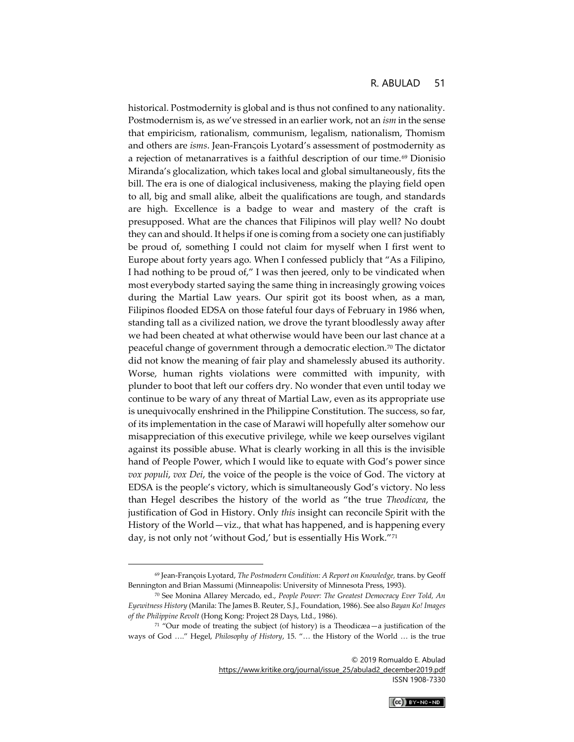historical. Postmodernity is global and is thus not confined to any nationality. Postmodernism is, as we've stressed in an earlier work, not an *ism* in the sense that empiricism, rationalism, communism, legalism, nationalism, Thomism and others are *isms*. Jean-Franςois Lyotard's assessment of postmodernity as a rejection of metanarratives is a faithful description of our time.<sup>69</sup> Dionisio Miranda's glocalization, which takes local and global simultaneously, fits the bill. The era is one of dialogical inclusiveness, making the playing field open to all, big and small alike, albeit the qualifications are tough, and standards are high. Excellence is a badge to wear and mastery of the craft is presupposed. What are the chances that Filipinos will play well? No doubt they can and should. It helps if one is coming from a society one can justifiably be proud of, something I could not claim for myself when I first went to Europe about forty years ago. When I confessed publicly that "As a Filipino, I had nothing to be proud of," I was then jeered, only to be vindicated when most everybody started saying the same thing in increasingly growing voices during the Martial Law years. Our spirit got its boost when, as a man, Filipinos flooded EDSA on those fateful four days of February in 1986 when, standing tall as a civilized nation, we drove the tyrant bloodlessly away after we had been cheated at what otherwise would have been our last chance at a peaceful change of government through a democratic election.<sup>70</sup> The dictator did not know the meaning of fair play and shamelessly abused its authority. Worse, human rights violations were committed with impunity, with plunder to boot that left our coffers dry. No wonder that even until today we continue to be wary of any threat of Martial Law, even as its appropriate use is unequivocally enshrined in the Philippine Constitution. The success, so far, of its implementation in the case of Marawi will hopefully alter somehow our misappreciation of this executive privilege, while we keep ourselves vigilant against its possible abuse. What is clearly working in all this is the invisible hand of People Power, which I would like to equate with God's power since *vox populi*, *vox Dei*, the voice of the people is the voice of God. The victory at EDSA is the people's victory, which is simultaneously God's victory. No less than Hegel describes the history of the world as "the true *Theodicœa*, the justification of God in History. Only *this* insight can reconcile Spirit with the History of the World—viz., that what has happened, and is happening every day, is not only not 'without God,' but is essentially His Work."<sup>71</sup>

© 2019 Romualdo E. Abulad

[https://www.kritike.org/journal/issue\\_25/abulad2\\_december2019.pdf](https://www.kritike.org/journal/issue_25/abulad2_december2019.pdf) ISSN 1908-7330



<sup>69</sup> Jean-François Lyotard, *The Postmodern Condition: A Report on Knowledge,* trans. by Geoff Bennington and Brian Massumi (Minneapolis: University of Minnesota Press, 1993).

<sup>70</sup> See Monina Allarey Mercado, ed., *People Power: The Greatest Democracy Ever Told, An Eyewitness History* (Manila: The James B. Reuter, S.J., Foundation, 1986). See also *Bayan Ko! Images of the Philippine Revolt* (Hong Kong: Project 28 Days, Ltd., 1986).

 $71$  "Our mode of treating the subject (of history) is a Theodicæa — a justification of the ways of God …." Hegel, *Philosophy of History*, 15. "… the History of the World … is the true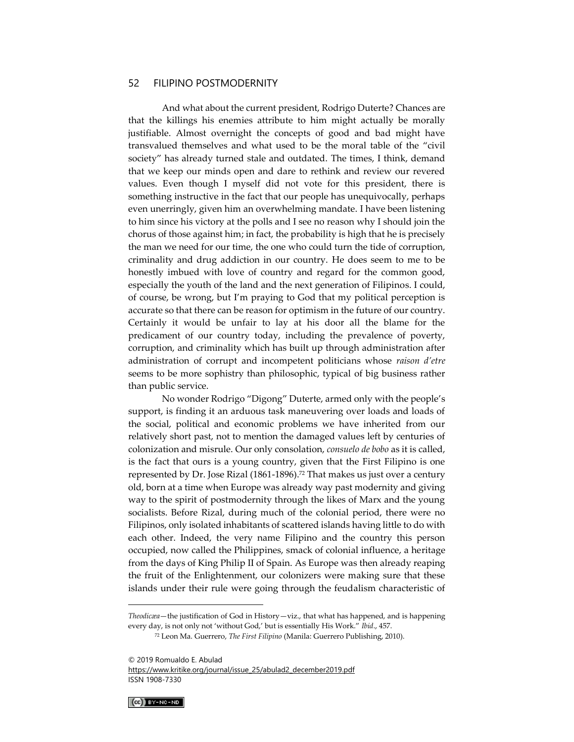And what about the current president, Rodrigo Duterte? Chances are that the killings his enemies attribute to him might actually be morally justifiable. Almost overnight the concepts of good and bad might have transvalued themselves and what used to be the moral table of the "civil society" has already turned stale and outdated. The times, I think, demand that we keep our minds open and dare to rethink and review our revered values. Even though I myself did not vote for this president, there is something instructive in the fact that our people has unequivocally, perhaps even unerringly, given him an overwhelming mandate. I have been listening to him since his victory at the polls and I see no reason why I should join the chorus of those against him; in fact, the probability is high that he is precisely the man we need for our time, the one who could turn the tide of corruption, criminality and drug addiction in our country. He does seem to me to be honestly imbued with love of country and regard for the common good, especially the youth of the land and the next generation of Filipinos. I could, of course, be wrong, but I'm praying to God that my political perception is accurate so that there can be reason for optimism in the future of our country. Certainly it would be unfair to lay at his door all the blame for the predicament of our country today, including the prevalence of poverty, corruption, and criminality which has built up through administration after administration of corrupt and incompetent politicians whose *raison d'etre*  seems to be more sophistry than philosophic, typical of big business rather than public service.

No wonder Rodrigo "Digong" Duterte, armed only with the people's support, is finding it an arduous task maneuvering over loads and loads of the social, political and economic problems we have inherited from our relatively short past, not to mention the damaged values left by centuries of colonization and misrule. Our only consolation, *consuelo de bobo* as it is called, is the fact that ours is a young country, given that the First Filipino is one represented by Dr. Jose Rizal (1861-1896).<sup>72</sup> That makes us just over a century old, born at a time when Europe was already way past modernity and giving way to the spirit of postmodernity through the likes of Marx and the young socialists. Before Rizal, during much of the colonial period, there were no Filipinos, only isolated inhabitants of scattered islands having little to do with each other. Indeed, the very name Filipino and the country this person occupied, now called the Philippines, smack of colonial influence, a heritage from the days of King Philip II of Spain. As Europe was then already reaping the fruit of the Enlightenment, our colonizers were making sure that these islands under their rule were going through the feudalism characteristic of

[https://www.kritike.org/journal/issue\\_25/abulad2\\_december2019.pdf](https://www.kritike.org/journal/issue_25/abulad2_december2019.pdf) ISSN 1908-7330



*Theodicæa*—the justification of God in History—viz., that what has happened, and is happening every day, is not only not 'without God,' but is essentially His Work." *Ibid*., 457.

<sup>72</sup> Leon Ma. Guerrero, *The First Filipino* (Manila: Guerrero Publishing, 2010).

<sup>© 2019</sup> Romualdo E. Abulad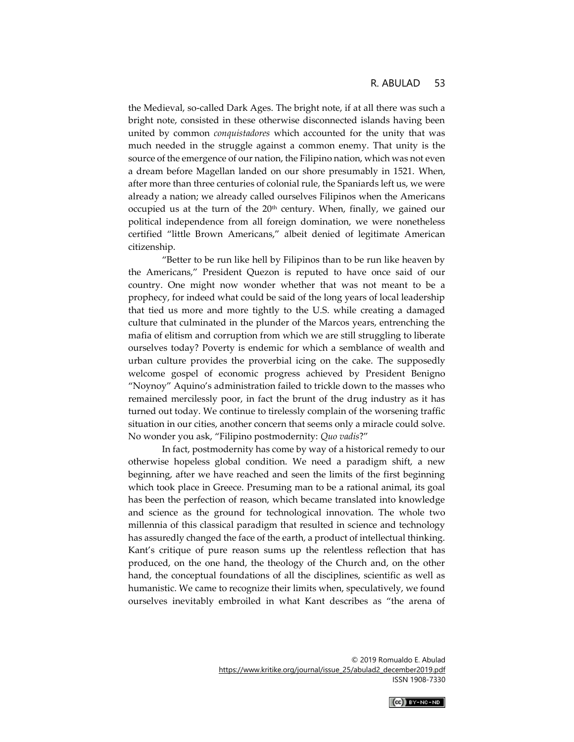the Medieval, so-called Dark Ages. The bright note, if at all there was such a bright note, consisted in these otherwise disconnected islands having been united by common *conquistadores* which accounted for the unity that was much needed in the struggle against a common enemy. That unity is the source of the emergence of our nation, the Filipino nation, which was not even a dream before Magellan landed on our shore presumably in 1521. When, after more than three centuries of colonial rule, the Spaniards left us, we were already a nation; we already called ourselves Filipinos when the Americans occupied us at the turn of the 20<sup>th</sup> century. When, finally, we gained our political independence from all foreign domination, we were nonetheless certified "little Brown Americans," albeit denied of legitimate American citizenship.

"Better to be run like hell by Filipinos than to be run like heaven by the Americans," President Quezon is reputed to have once said of our country. One might now wonder whether that was not meant to be a prophecy, for indeed what could be said of the long years of local leadership that tied us more and more tightly to the U.S. while creating a damaged culture that culminated in the plunder of the Marcos years, entrenching the mafia of elitism and corruption from which we are still struggling to liberate ourselves today? Poverty is endemic for which a semblance of wealth and urban culture provides the proverbial icing on the cake. The supposedly welcome gospel of economic progress achieved by President Benigno "Noynoy" Aquino's administration failed to trickle down to the masses who remained mercilessly poor, in fact the brunt of the drug industry as it has turned out today. We continue to tirelessly complain of the worsening traffic situation in our cities, another concern that seems only a miracle could solve. No wonder you ask, "Filipino postmodernity: *Quo vadis*?"

In fact, postmodernity has come by way of a historical remedy to our otherwise hopeless global condition. We need a paradigm shift, a new beginning, after we have reached and seen the limits of the first beginning which took place in Greece. Presuming man to be a rational animal, its goal has been the perfection of reason, which became translated into knowledge and science as the ground for technological innovation. The whole two millennia of this classical paradigm that resulted in science and technology has assuredly changed the face of the earth, a product of intellectual thinking. Kant's critique of pure reason sums up the relentless reflection that has produced, on the one hand, the theology of the Church and, on the other hand, the conceptual foundations of all the disciplines, scientific as well as humanistic. We came to recognize their limits when, speculatively, we found ourselves inevitably embroiled in what Kant describes as "the arena of

> © 2019 Romualdo E. Abulad [https://www.kritike.org/journal/issue\\_25/abulad2\\_december2019.pdf](https://www.kritike.org/journal/issue_25/abulad2_december2019.pdf) ISSN 1908-7330

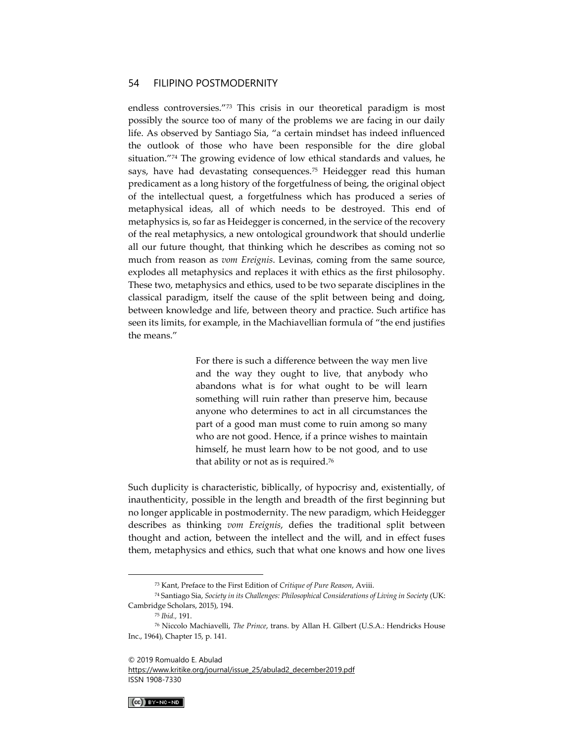endless controversies."<sup>73</sup> This crisis in our theoretical paradigm is most possibly the source too of many of the problems we are facing in our daily life. As observed by Santiago Sia, "a certain mindset has indeed influenced the outlook of those who have been responsible for the dire global situation."<sup>74</sup> The growing evidence of low ethical standards and values, he says, have had devastating consequences.<sup>75</sup> Heidegger read this human predicament as a long history of the forgetfulness of being, the original object of the intellectual quest, a forgetfulness which has produced a series of metaphysical ideas, all of which needs to be destroyed. This end of metaphysics is, so far as Heidegger is concerned, in the service of the recovery of the real metaphysics, a new ontological groundwork that should underlie all our future thought, that thinking which he describes as coming not so much from reason as *vom Ereignis*. Levinas, coming from the same source, explodes all metaphysics and replaces it with ethics as the first philosophy. These two, metaphysics and ethics, used to be two separate disciplines in the classical paradigm, itself the cause of the split between being and doing, between knowledge and life, between theory and practice. Such artifice has seen its limits, for example, in the Machiavellian formula of "the end justifies the means."

> For there is such a difference between the way men live and the way they ought to live, that anybody who abandons what is for what ought to be will learn something will ruin rather than preserve him, because anyone who determines to act in all circumstances the part of a good man must come to ruin among so many who are not good. Hence, if a prince wishes to maintain himself, he must learn how to be not good, and to use that ability or not as is required.<sup>76</sup>

Such duplicity is characteristic, biblically, of hypocrisy and, existentially, of inauthenticity, possible in the length and breadth of the first beginning but no longer applicable in postmodernity. The new paradigm, which Heidegger describes as thinking *vom Ereignis*, defies the traditional split between thought and action, between the intellect and the will, and in effect fuses them, metaphysics and ethics, such that what one knows and how one lives

[https://www.kritike.org/journal/issue\\_25/abulad2\\_december2019.pdf](https://www.kritike.org/journal/issue_25/abulad2_december2019.pdf) ISSN 1908-7330



<sup>73</sup> Kant, Preface to the First Edition of *Critique of Pure Reason*, Aviii.

<sup>74</sup> Santiago Sia, *Society in its Challenges: Philosophical Considerations of Living in Society* (UK: Cambridge Scholars, 2015), 194.

<sup>75</sup> *Ibid.,* 191.

<sup>76</sup> Niccolo Machiavelli, *The Prince*, trans. by Allan H. Gilbert (U.S.A.: Hendricks House Inc., 1964), Chapter 15, p. 141.

<sup>© 2019</sup> Romualdo E. Abulad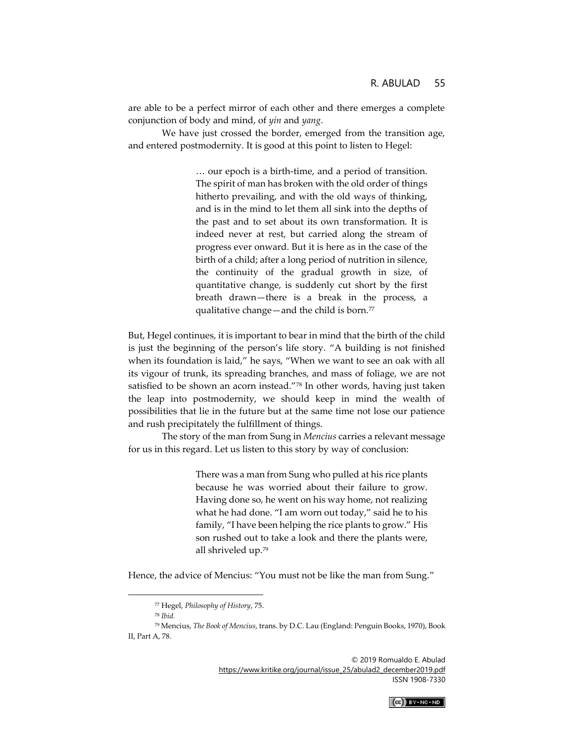are able to be a perfect mirror of each other and there emerges a complete conjunction of body and mind, of *yin* and *yang*.

We have just crossed the border, emerged from the transition age, and entered postmodernity. It is good at this point to listen to Hegel:

> … our epoch is a birth-time, and a period of transition. The spirit of man has broken with the old order of things hitherto prevailing, and with the old ways of thinking, and is in the mind to let them all sink into the depths of the past and to set about its own transformation. It is indeed never at rest, but carried along the stream of progress ever onward. But it is here as in the case of the birth of a child; after a long period of nutrition in silence, the continuity of the gradual growth in size, of quantitative change, is suddenly cut short by the first breath drawn—there is a break in the process, a qualitative change—and the child is born. $77$

But, Hegel continues, it is important to bear in mind that the birth of the child is just the beginning of the person's life story. "A building is not finished when its foundation is laid," he says, "When we want to see an oak with all its vigour of trunk, its spreading branches, and mass of foliage, we are not satisfied to be shown an acorn instead."78 In other words, having just taken the leap into postmodernity, we should keep in mind the wealth of possibilities that lie in the future but at the same time not lose our patience and rush precipitately the fulfillment of things.

The story of the man from Sung in *Mencius* carries a relevant message for us in this regard. Let us listen to this story by way of conclusion:

> There was a man from Sung who pulled at his rice plants because he was worried about their failure to grow. Having done so, he went on his way home, not realizing what he had done. "I am worn out today," said he to his family, "I have been helping the rice plants to grow." His son rushed out to take a look and there the plants were, all shriveled up.<sup>79</sup>

Hence, the advice of Mencius: "You must not be like the man from Sung."



<sup>77</sup> Hegel, *Philosophy of History*, 75.

<sup>78</sup> *Ibid.*

<sup>79</sup> Mencius, *The Book of Mencius*, trans. by D.C. Lau (England: Penguin Books, 1970), Book II, Part A, 78.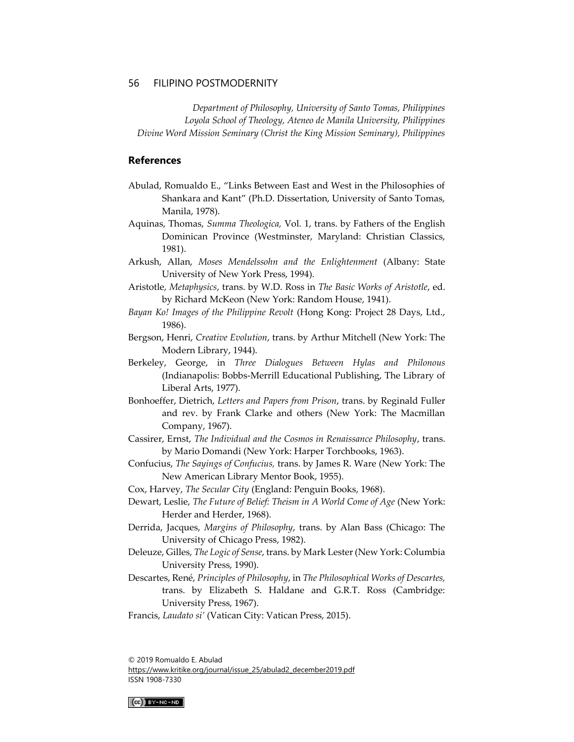*Department of Philosophy, University of Santo Tomas, Philippines Loyola School of Theology, Ateneo de Manila University, Philippines Divine Word Mission Seminary (Christ the King Mission Seminary), Philippines*

#### **References**

- Abulad, Romualdo E., "Links Between East and West in the Philosophies of Shankara and Kant" (Ph.D. Dissertation, University of Santo Tomas, Manila, 1978).
- Aquinas, Thomas, *Summa Theologica,* Vol. 1, trans. by Fathers of the English Dominican Province (Westminster, Maryland: Christian Classics, 1981).
- Arkush, Allan, *Moses Mendelssohn and the Enlightenment* (Albany: State University of New York Press, 1994).
- Aristotle, *Metaphysics*, trans. by W.D. Ross in *The Basic Works of Aristotle*, ed. by Richard McKeon (New York: Random House, 1941).
- *Bayan Ko! Images of the Philippine Revolt* (Hong Kong: Project 28 Days, Ltd., 1986).
- Bergson, Henri, *Creative Evolution*, trans. by Arthur Mitchell (New York: The Modern Library, 1944).
- Berkeley, George, in *Three Dialogues Between Hylas and Philonous*  (Indianapolis: Bobbs-Merrill Educational Publishing, The Library of Liberal Arts, 1977).
- Bonhoeffer, Dietrich, *Letters and Papers from Prison*, trans. by Reginald Fuller and rev. by Frank Clarke and others (New York: The Macmillan Company, 1967).
- Cassirer, Ernst, *The Individual and the Cosmos in Renaissance Philosophy*, trans. by Mario Domandi (New York: Harper Torchbooks, 1963).
- Confucius, *The Sayings of Confucius,* trans. by James R. Ware (New York: The New American Library Mentor Book, 1955).
- Cox, Harvey, *The Secular City* (England: Penguin Books, 1968).
- Dewart, Leslie, *The Future of Belief: Theism in A World Come of Age* (New York: Herder and Herder, 1968).
- Derrida, Jacques, *Margins of Philosophy*, trans. by Alan Bass (Chicago: The University of Chicago Press, 1982).
- Deleuze, Gilles, *The Logic of Sense*, trans. by Mark Lester (New York: Columbia University Press, 1990).
- Descartes, René, *Principles of Philosophy*, in *The Philosophical Works of Descartes,*  trans. by Elizabeth S. Haldane and G.R.T. Ross (Cambridge: University Press, 1967).
- Francis, *Laudato si'* (Vatican City: Vatican Press, 2015).

© 2019 Romualdo E. Abulad [https://www.kritike.org/journal/issue\\_25/abulad2\\_december2019.pdf](https://www.kritike.org/journal/issue_25/abulad2_december2019.pdf) ISSN 1908-7330

 $(Cc)$  BY-NC-ND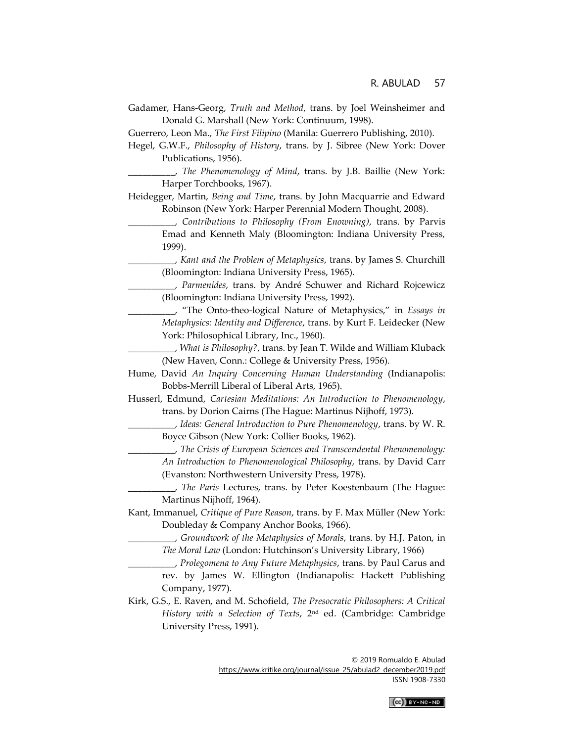Gadamer, Hans-Georg, *Truth and Method*, trans. by Joel Weinsheimer and Donald G. Marshall (New York: Continuum, 1998).

Guerrero, Leon Ma., *The First Filipino* (Manila: Guerrero Publishing, 2010).

Hegel, G.W.F., *Philosophy of History*, trans. by J. Sibree (New York: Dover Publications, 1956).

\_\_\_\_\_\_\_\_\_\_, *The Phenomenology of Mind*, trans. by J.B. Baillie (New York: Harper Torchbooks, 1967).

- Heidegger, Martin, *Being and Time*, trans. by John Macquarrie and Edward Robinson (New York: Harper Perennial Modern Thought, 2008).
	- \_\_\_\_\_\_\_\_\_\_, *Contributions to Philosophy (From Enowning)*, trans. by Parvis Emad and Kenneth Maly (Bloomington: Indiana University Press, 1999).
		- \_\_\_\_\_\_\_\_\_\_, *Kant and the Problem of Metaphysics*, trans. by James S. Churchill (Bloomington: Indiana University Press, 1965).
	- \_\_\_\_\_\_\_\_\_\_, *Parmenides*, trans. by André Schuwer and Richard Rojcewicz (Bloomington: Indiana University Press, 1992).
	- \_\_\_\_\_\_\_\_\_\_, "The Onto-theo-logical Nature of Metaphysics," in *Essays in Metaphysics: Identity and Difference*, trans. by Kurt F. Leidecker (New York: Philosophical Library, Inc., 1960).
	- \_\_\_\_\_\_\_\_\_\_, *What is Philosophy?*, trans. by Jean T. Wilde and William Kluback (New Haven, Conn.: College & University Press, 1956).
- Hume, David *An Inquiry Concerning Human Understanding* (Indianapolis: Bobbs-Merrill Liberal of Liberal Arts, 1965).
- Husserl, Edmund, *Cartesian Meditations: An Introduction to Phenomenology*, trans. by Dorion Cairns (The Hague: Martinus Nijhoff, 1973).
	- \_\_\_\_\_\_\_\_\_\_, *Ideas: General Introduction to Pure Phenomenology*, trans. by W. R. Boyce Gibson (New York: Collier Books, 1962).
	- \_\_\_\_\_\_\_\_\_\_, *The Crisis of European Sciences and Transcendental Phenomenology: An Introduction to Phenomenological Philosophy*, trans. by David Carr (Evanston: Northwestern University Press, 1978).
	- \_\_\_\_\_\_\_\_\_\_, *The Paris* Lectures, trans. by Peter Koestenbaum (The Hague: Martinus Nijhoff, 1964).
- Kant, Immanuel, *Critique of Pure Reason*, trans. by F. Max Müller (New York: Doubleday & Company Anchor Books, 1966).
	- \_\_\_\_\_\_\_\_\_\_, *Groundwork of the Metaphysics of Morals*, trans. by H.J. Paton, in *The Moral Law* (London: Hutchinson's University Library, 1966)
	- \_\_\_\_\_\_\_\_\_\_, *Prolegomena to Any Future Metaphysics*, trans. by Paul Carus and rev. by James W. Ellington (Indianapolis: Hackett Publishing Company, 1977).
- Kirk, G.S., E. Raven, and M. Schofield, *The Presocratic Philosophers: A Critical History with a Selection of Texts*, 2nd ed. (Cambridge: Cambridge University Press, 1991).

© 2019 Romualdo E. Abulad [https://www.kritike.org/journal/issue\\_25/abulad2\\_december2019.pdf](https://www.kritike.org/journal/issue_25/abulad2_december2019.pdf) ISSN 1908-7330

 $(Ce)$  BY-NC-ND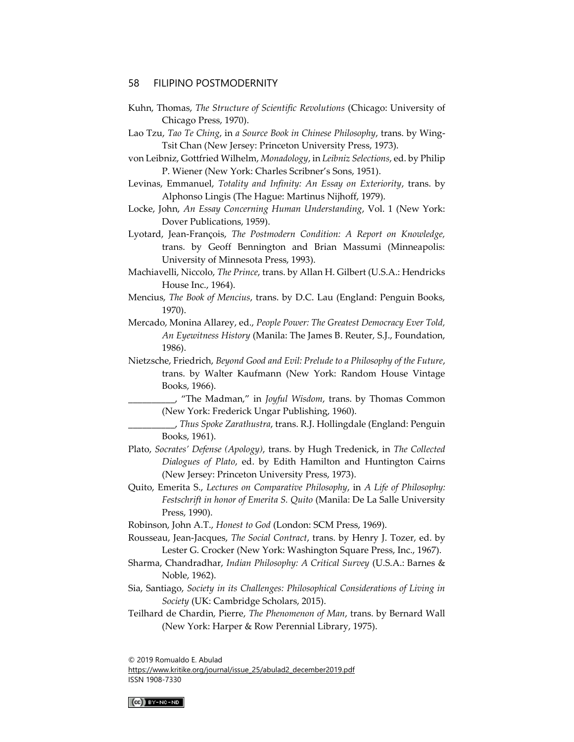- Kuhn, Thomas, *The Structure of Scientific Revolutions* (Chicago: University of Chicago Press, 1970).
- Lao Tzu, *Tao Te Ching*, in *a Source Book in Chinese Philosophy*, trans. by Wing-Tsit Chan (New Jersey: Princeton University Press, 1973).
- von Leibniz, Gottfried Wilhelm, *Monadology*, in *Leibniz Selections*, ed. by Philip P. Wiener (New York: Charles Scribner's Sons, 1951).
- Levinas, Emmanuel, *Totality and Infinity: An Essay on Exteriority*, trans. by Alphonso Lingis (The Hague: Martinus Nijhoff, 1979).
- Locke, John, *An Essay Concerning Human Understanding*, Vol. 1 (New York: Dover Publications, 1959).
- Lyotard, Jean-François, *The Postmodern Condition: A Report on Knowledge,*  trans. by Geoff Bennington and Brian Massumi (Minneapolis: University of Minnesota Press, 1993).
- Machiavelli, Niccolo, *The Prince*, trans. by Allan H. Gilbert (U.S.A.: Hendricks House Inc., 1964).
- Mencius, *The Book of Mencius*, trans. by D.C. Lau (England: Penguin Books, 1970).
- Mercado, Monina Allarey, ed., *People Power: The Greatest Democracy Ever Told, An Eyewitness History* (Manila: The James B. Reuter, S.J., Foundation, 1986).
- Nietzsche, Friedrich, *Beyond Good and Evil: Prelude to a Philosophy of the Future*, trans. by Walter Kaufmann (New York: Random House Vintage Books, 1966).
	- \_\_\_\_\_\_\_\_\_\_, "The Madman," in *Joyful Wisdom*, trans. by Thomas Common (New York: Frederick Ungar Publishing, 1960).
	- \_\_\_\_\_\_\_\_\_\_, *Thus Spoke Zarathustra*, trans. R.J. Hollingdale (England: Penguin Books, 1961).
- Plato, *Socrates' Defense (Apology)*, trans. by Hugh Tredenick, in *The Collected Dialogues of Plato*, ed. by Edith Hamilton and Huntington Cairns (New Jersey: Princeton University Press, 1973).
- Quito, Emerita S., *Lectures on Comparative Philosophy*, in *A Life of Philosophy: Festschrift in honor of Emerita S. Quito* (Manila: De La Salle University Press, 1990).
- Robinson, John A.T., *Honest to God* (London: SCM Press, 1969).
- Rousseau, Jean-Jacques, *The Social Contract*, trans. by Henry J. Tozer, ed. by Lester G. Crocker (New York: Washington Square Press, Inc., 1967).
- Sharma, Chandradhar, *Indian Philosophy: A Critical Survey* (U.S.A.: Barnes & Noble, 1962).
- Sia, Santiago, *Society in its Challenges: Philosophical Considerations of Living in Society* (UK: Cambridge Scholars, 2015).
- Teilhard de Chardin, Pierre, *The Phenomenon of Man*, trans. by Bernard Wall (New York: Harper & Row Perennial Library, 1975).

© 2019 Romualdo E. Abulad

[https://www.kritike.org/journal/issue\\_25/abulad2\\_december2019.pdf](https://www.kritike.org/journal/issue_25/abulad2_december2019.pdf) ISSN 1908-7330

 $(Cc)$  BY-NC-ND